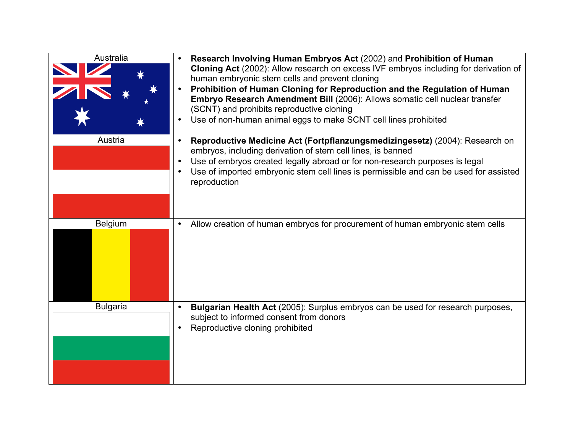| Australia<br>Austria | Research Involving Human Embryos Act (2002) and Prohibition of Human<br>Cloning Act (2002): Allow research on excess IVF embryos including for derivation of<br>human embryonic stem cells and prevent cloning<br>Prohibition of Human Cloning for Reproduction and the Regulation of Human<br>$\bullet$<br>Embryo Research Amendment Bill (2006): Allows somatic cell nuclear transfer<br>(SCNT) and prohibits reproductive cloning<br>Use of non-human animal eggs to make SCNT cell lines prohibited<br>$\bullet$<br>Reproductive Medicine Act (Fortpflanzungsmedizingesetz) (2004): Research on<br>$\bullet$<br>embryos, including derivation of stem cell lines, is banned<br>Use of embryos created legally abroad or for non-research purposes is legal<br>$\bullet$<br>Use of imported embryonic stem cell lines is permissible and can be used for assisted<br>$\bullet$<br>reproduction |
|----------------------|---------------------------------------------------------------------------------------------------------------------------------------------------------------------------------------------------------------------------------------------------------------------------------------------------------------------------------------------------------------------------------------------------------------------------------------------------------------------------------------------------------------------------------------------------------------------------------------------------------------------------------------------------------------------------------------------------------------------------------------------------------------------------------------------------------------------------------------------------------------------------------------------------|
|                      |                                                                                                                                                                                                                                                                                                                                                                                                                                                                                                                                                                                                                                                                                                                                                                                                                                                                                                   |
| <b>Belgium</b>       | Allow creation of human embryos for procurement of human embryonic stem cells                                                                                                                                                                                                                                                                                                                                                                                                                                                                                                                                                                                                                                                                                                                                                                                                                     |
| <b>Bulgaria</b>      | Bulgarian Health Act (2005): Surplus embryos can be used for research purposes,<br>$\bullet$<br>subject to informed consent from donors<br>Reproductive cloning prohibited                                                                                                                                                                                                                                                                                                                                                                                                                                                                                                                                                                                                                                                                                                                        |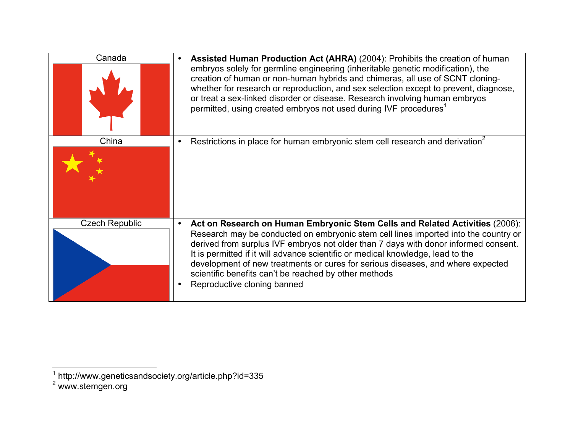| Canada                | Assisted Human Production Act (AHRA) (2004): Prohibits the creation of human<br>embryos solely for germline engineering (inheritable genetic modification), the<br>creation of human or non-human hybrids and chimeras, all use of SCNT cloning-<br>whether for research or reproduction, and sex selection except to prevent, diagnose,<br>or treat a sex-linked disorder or disease. Research involving human embryos<br>permitted, using created embryos not used during IVF procedures <sup>1</sup>                               |
|-----------------------|---------------------------------------------------------------------------------------------------------------------------------------------------------------------------------------------------------------------------------------------------------------------------------------------------------------------------------------------------------------------------------------------------------------------------------------------------------------------------------------------------------------------------------------|
| China                 | Restrictions in place for human embryonic stem cell research and derivation <sup>2</sup><br>$\bullet$                                                                                                                                                                                                                                                                                                                                                                                                                                 |
| <b>Czech Republic</b> | Act on Research on Human Embryonic Stem Cells and Related Activities (2006):<br>$\bullet$<br>Research may be conducted on embryonic stem cell lines imported into the country or<br>derived from surplus IVF embryos not older than 7 days with donor informed consent.<br>It is permitted if it will advance scientific or medical knowledge, lead to the<br>development of new treatments or cures for serious diseases, and where expected<br>scientific benefits can't be reached by other methods<br>Reproductive cloning banned |

\_\_\_\_\_\_\_\_\_\_\_\_\_\_\_\_\_\_\_\_\_\_\_\_\_\_\_\_\_\_<br><sup>1</sup> http://www.geneticsandsociety.org/article.php?id=335

<sup>&</sup>lt;sup>2</sup> www.stemgen.org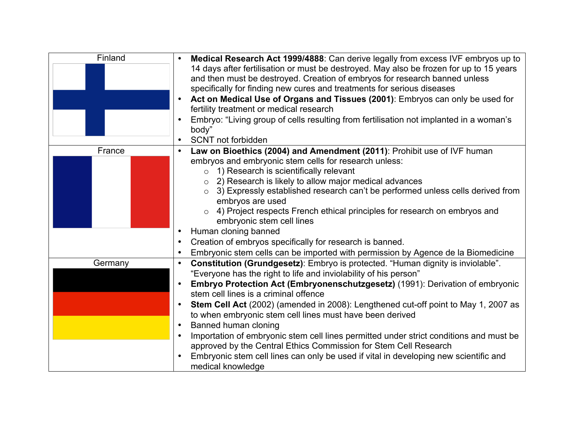| Finland | Medical Research Act 1999/4888: Can derive legally from excess IVF embryos up to<br>$\bullet$<br>14 days after fertilisation or must be destroyed. May also be frozen for up to 15 years<br>and then must be destroyed. Creation of embryos for research banned unless<br>specifically for finding new cures and treatments for serious diseases<br>Act on Medical Use of Organs and Tissues (2001): Embryos can only be used for<br>$\bullet$<br>fertility treatment or medical research<br>Embryo: "Living group of cells resulting from fertilisation not implanted in a woman's<br>$\bullet$<br>body"<br>SCNT not forbidden<br>$\bullet$ |
|---------|----------------------------------------------------------------------------------------------------------------------------------------------------------------------------------------------------------------------------------------------------------------------------------------------------------------------------------------------------------------------------------------------------------------------------------------------------------------------------------------------------------------------------------------------------------------------------------------------------------------------------------------------|
| France  | Law on Bioethics (2004) and Amendment (2011): Prohibit use of IVF human<br>$\bullet$<br>embryos and embryonic stem cells for research unless:                                                                                                                                                                                                                                                                                                                                                                                                                                                                                                |
|         | $\circ$ 1) Research is scientifically relevant<br>2) Research is likely to allow major medical advances<br>3) Expressly established research can't be performed unless cells derived from<br>$\circ$<br>embryos are used<br>4) Project respects French ethical principles for research on embryos and<br>$\circ$<br>embryonic stem cell lines<br>Human cloning banned<br>$\bullet$<br>Creation of embryos specifically for research is banned.<br>$\bullet$<br>$\bullet$                                                                                                                                                                     |
| Germany | Embryonic stem cells can be imported with permission by Agence de la Biomedicine<br>Constitution (Grundgesetz): Embryo is protected. "Human dignity is inviolable".<br>$\bullet$                                                                                                                                                                                                                                                                                                                                                                                                                                                             |
|         | "Everyone has the right to life and inviolability of his person"                                                                                                                                                                                                                                                                                                                                                                                                                                                                                                                                                                             |
|         | Embryo Protection Act (Embryonenschutzgesetz) (1991): Derivation of embryonic<br>stem cell lines is a criminal offence<br>Stem Cell Act (2002) (amended in 2008): Lengthened cut-off point to May 1, 2007 as<br>$\bullet$<br>to when embryonic stem cell lines must have been derived<br>Banned human cloning<br>$\bullet$                                                                                                                                                                                                                                                                                                                   |
|         | Importation of embryonic stem cell lines permitted under strict conditions and must be                                                                                                                                                                                                                                                                                                                                                                                                                                                                                                                                                       |
|         | approved by the Central Ethics Commission for Stem Cell Research                                                                                                                                                                                                                                                                                                                                                                                                                                                                                                                                                                             |
|         | Embryonic stem cell lines can only be used if vital in developing new scientific and<br>medical knowledge                                                                                                                                                                                                                                                                                                                                                                                                                                                                                                                                    |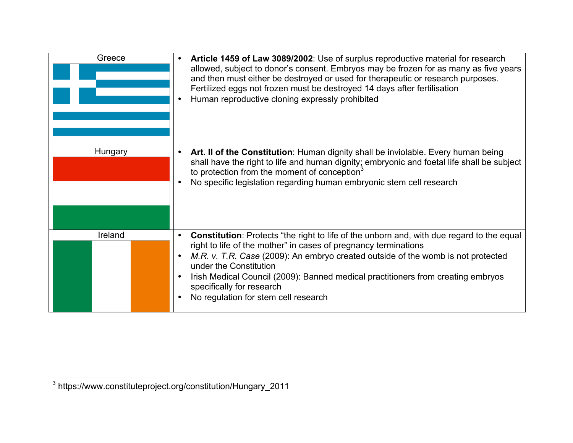| Greece  | Article 1459 of Law 3089/2002: Use of surplus reproductive material for research<br>$\bullet$<br>allowed, subject to donor's consent. Embryos may be frozen for as many as five years<br>and then must either be destroyed or used for therapeutic or research purposes.<br>Fertilized eggs not frozen must be destroyed 14 days after fertilisation<br>Human reproductive cloning expressly prohibited                                                                                        |
|---------|------------------------------------------------------------------------------------------------------------------------------------------------------------------------------------------------------------------------------------------------------------------------------------------------------------------------------------------------------------------------------------------------------------------------------------------------------------------------------------------------|
| Hungary | Art. Il of the Constitution: Human dignity shall be inviolable. Every human being<br>$\bullet$<br>shall have the right to life and human dignity; embryonic and foetal life shall be subject<br>to protection from the moment of conception <sup>3</sup><br>No specific legislation regarding human embryonic stem cell research                                                                                                                                                               |
| Ireland | <b>Constitution:</b> Protects "the right to life of the unborn and, with due regard to the equal<br>$\bullet$<br>right to life of the mother" in cases of pregnancy terminations<br>M.R. v. T.R. Case (2009): An embryo created outside of the womb is not protected<br>$\bullet$<br>under the Constitution<br>Irish Medical Council (2009): Banned medical practitioners from creating embryos<br>$\bullet$<br>specifically for research<br>No regulation for stem cell research<br>$\bullet$ |

 <sup>3</sup> https://www.constituteproject.org/constitution/Hungary\_2011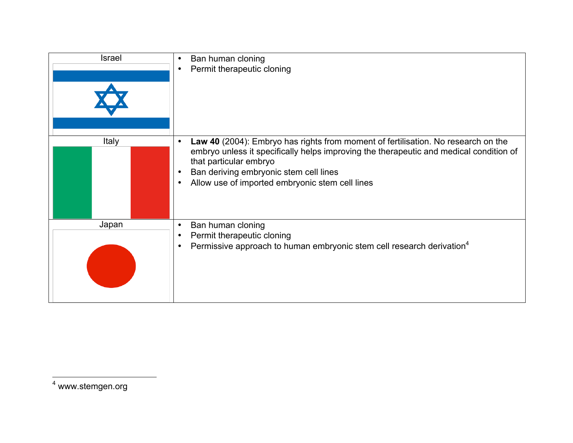| <b>Israel</b> | Ban human cloning<br>$\bullet$<br>Permit therapeutic cloning<br>$\bullet$                                                                                                                                                                                                                                                                 |
|---------------|-------------------------------------------------------------------------------------------------------------------------------------------------------------------------------------------------------------------------------------------------------------------------------------------------------------------------------------------|
| Italy         | Law 40 (2004): Embryo has rights from moment of fertilisation. No research on the<br>$\bullet$<br>embryo unless it specifically helps improving the therapeutic and medical condition of<br>that particular embryo<br>Ban deriving embryonic stem cell lines<br>$\bullet$<br>Allow use of imported embryonic stem cell lines<br>$\bullet$ |
| Japan         | Ban human cloning<br>$\bullet$<br>Permit therapeutic cloning<br>$\bullet$<br>Permissive approach to human embryonic stem cell research derivation <sup>4</sup><br>$\bullet$                                                                                                                                                               |

<sup>4</sup> www.stemgen.org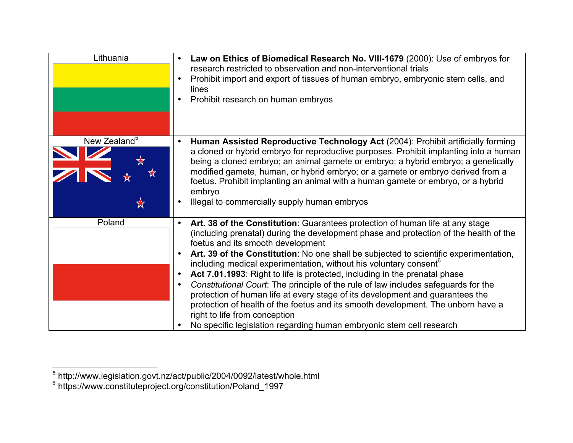| Lithuania                | Law on Ethics of Biomedical Research No. VIII-1679 (2000): Use of embryos for<br>research restricted to observation and non-interventional trials<br>Prohibit import and export of tissues of human embryo, embryonic stem cells, and<br>$\bullet$<br>lines<br>Prohibit research on human embryos                                                                                                                                                                                                                                                                                                                                                                                                                                                                                                                                                                                           |
|--------------------------|---------------------------------------------------------------------------------------------------------------------------------------------------------------------------------------------------------------------------------------------------------------------------------------------------------------------------------------------------------------------------------------------------------------------------------------------------------------------------------------------------------------------------------------------------------------------------------------------------------------------------------------------------------------------------------------------------------------------------------------------------------------------------------------------------------------------------------------------------------------------------------------------|
| New Zealand <sup>5</sup> | Human Assisted Reproductive Technology Act (2004): Prohibit artificially forming<br>a cloned or hybrid embryo for reproductive purposes. Prohibit implanting into a human<br>being a cloned embryo; an animal gamete or embryo; a hybrid embryo; a genetically<br>modified gamete, human, or hybrid embryo; or a gamete or embryo derived from a<br>foetus. Prohibit implanting an animal with a human gamete or embryo, or a hybrid<br>embryo<br>Illegal to commercially supply human embryos<br>$\bullet$                                                                                                                                                                                                                                                                                                                                                                                 |
| Poland                   | Art. 38 of the Constitution: Guarantees protection of human life at any stage<br>$\bullet$<br>(including prenatal) during the development phase and protection of the health of the<br>foetus and its smooth development<br>Art. 39 of the Constitution: No one shall be subjected to scientific experimentation,<br>including medical experimentation, without his voluntary consent <sup>6</sup><br>Act 7.01.1993: Right to life is protected, including in the prenatal phase<br>$\bullet$<br>Constitutional Court: The principle of the rule of law includes safeguards for the<br>$\bullet$<br>protection of human life at every stage of its development and guarantees the<br>protection of health of the foetus and its smooth development. The unborn have a<br>right to life from conception<br>No specific legislation regarding human embryonic stem cell research<br>$\bullet$ |

\_\_\_\_\_\_\_\_\_\_\_\_\_\_\_\_\_\_\_\_\_\_\_\_\_\_\_\_\_\_\_\_\_\_\_<br><sup>5</sup> http://www.legislation.govt.nz/act/public/2004/0092/latest/whole.html

<sup>6</sup> https://www.constituteproject.org/constitution/Poland\_1997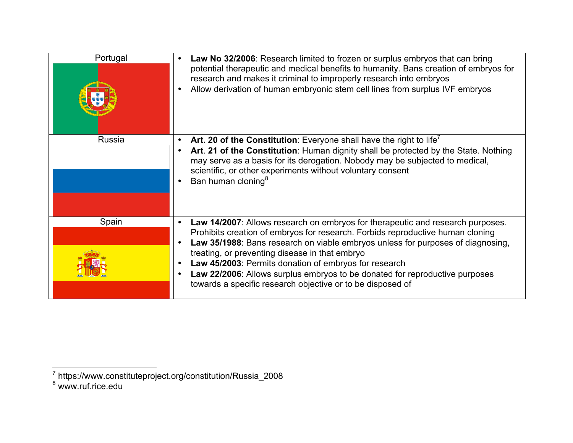| Portugal | Law No 32/2006: Research limited to frozen or surplus embryos that can bring<br>$\bullet$<br>potential therapeutic and medical benefits to humanity. Bans creation of embryos for<br>research and makes it criminal to improperly research into embryos<br>Allow derivation of human embryonic stem cell lines from surplus IVF embryos                                                                                                                                                                                                                         |
|----------|-----------------------------------------------------------------------------------------------------------------------------------------------------------------------------------------------------------------------------------------------------------------------------------------------------------------------------------------------------------------------------------------------------------------------------------------------------------------------------------------------------------------------------------------------------------------|
| Russia   | Art. 20 of the Constitution: Everyone shall have the right to life'<br>Art. 21 of the Constitution: Human dignity shall be protected by the State. Nothing<br>$\bullet$<br>may serve as a basis for its derogation. Nobody may be subjected to medical,<br>scientific, or other experiments without voluntary consent<br>Ban human cloning <sup>8</sup>                                                                                                                                                                                                         |
| Spain    | Law 14/2007: Allows research on embryos for therapeutic and research purposes.<br>$\bullet$<br>Prohibits creation of embryos for research. Forbids reproductive human cloning<br>Law 35/1988: Bans research on viable embryos unless for purposes of diagnosing,<br>$\bullet$<br>treating, or preventing disease in that embryo<br>Law 45/2003: Permits donation of embryos for research<br>$\bullet$<br>Law 22/2006: Allows surplus embryos to be donated for reproductive purposes<br>$\bullet$<br>towards a specific research objective or to be disposed of |

\_\_\_\_\_\_\_\_\_\_\_\_\_\_\_\_\_\_\_\_\_\_\_\_\_\_\_\_\_\_<br><sup>7</sup> https://www.constituteproject.org/constitution/Russia\_2008

<sup>8</sup> www.ruf.rice.edu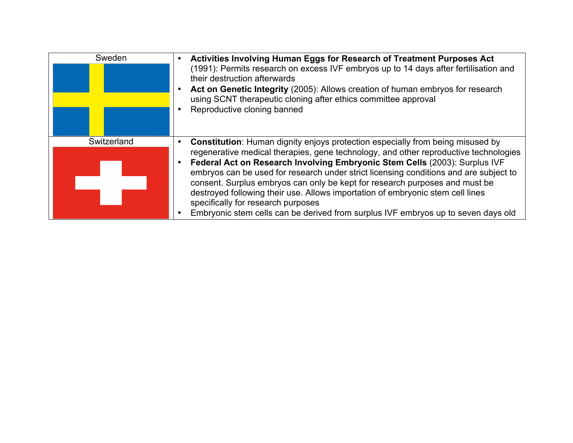| Sweden      | Activities Involving Human Eggs for Research of Treatment Purposes Act<br>(1991): Permits research on excess IVF embryos up to 14 days after fertilisation and<br>their destruction afterwards<br>Act on Genetic Integrity (2005): Allows creation of human embryos for research<br>using SCNT therapeutic cloning after ethics committee approval<br>Reproductive cloning banned                                                                                                                                                                                                                                                                |
|-------------|--------------------------------------------------------------------------------------------------------------------------------------------------------------------------------------------------------------------------------------------------------------------------------------------------------------------------------------------------------------------------------------------------------------------------------------------------------------------------------------------------------------------------------------------------------------------------------------------------------------------------------------------------|
| Switzerland | <b>Constitution:</b> Human dignity enjoys protection especially from being misused by<br>regenerative medical therapies, gene technology, and other reproductive technologies<br>Federal Act on Research Involving Embryonic Stem Cells (2003): Surplus IVF<br>embryos can be used for research under strict licensing conditions and are subject to<br>consent. Surplus embryos can only be kept for research purposes and must be<br>destroyed following their use. Allows importation of embryonic stem cell lines<br>specifically for research purposes<br>Embryonic stem cells can be derived from surplus IVF embryos up to seven days old |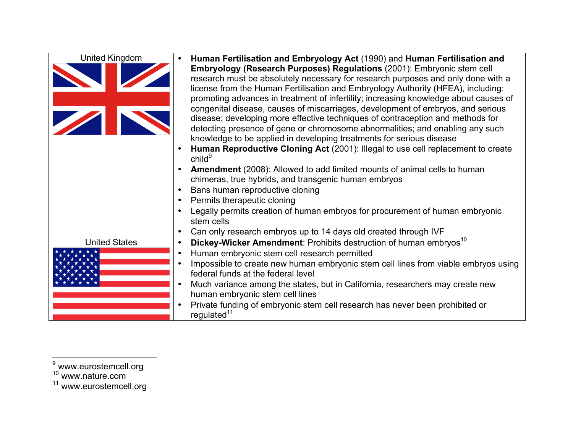| <b>United Kingdom</b> | Human Fertilisation and Embryology Act (1990) and Human Fertilisation and<br>Embryology (Research Purposes) Regulations (2001): Embryonic stem cell<br>research must be absolutely necessary for research purposes and only done with a<br>license from the Human Fertilisation and Embryology Authority (HFEA), including:<br>promoting advances in treatment of infertility; increasing knowledge about causes of<br>congenital disease, causes of miscarriages, development of embryos, and serious<br>disease; developing more effective techniques of contraception and methods for<br>detecting presence of gene or chromosome abnormalities; and enabling any such<br>knowledge to be applied in developing treatments for serious disease<br>Human Reproductive Cloning Act (2001): Illegal to use cell replacement to create<br>child <sup>9</sup><br>Amendment (2008): Allowed to add limited mounts of animal cells to human<br>chimeras, true hybrids, and transgenic human embryos<br>Bans human reproductive cloning<br>$\bullet$ |
|-----------------------|-------------------------------------------------------------------------------------------------------------------------------------------------------------------------------------------------------------------------------------------------------------------------------------------------------------------------------------------------------------------------------------------------------------------------------------------------------------------------------------------------------------------------------------------------------------------------------------------------------------------------------------------------------------------------------------------------------------------------------------------------------------------------------------------------------------------------------------------------------------------------------------------------------------------------------------------------------------------------------------------------------------------------------------------------|
|                       | Permits therapeutic cloning<br>$\bullet$<br>Legally permits creation of human embryos for procurement of human embryonic<br>stem cells                                                                                                                                                                                                                                                                                                                                                                                                                                                                                                                                                                                                                                                                                                                                                                                                                                                                                                          |
|                       | Can only research embryos up to 14 days old created through IVF<br>$\bullet$                                                                                                                                                                                                                                                                                                                                                                                                                                                                                                                                                                                                                                                                                                                                                                                                                                                                                                                                                                    |
| <b>United States</b>  | Dickey-Wicker Amendment: Prohibits destruction of human embryos <sup>10</sup><br>$\bullet$<br>Human embryonic stem cell research permitted<br>$\bullet$<br>Impossible to create new human embryonic stem cell lines from viable embryos using<br>$\bullet$<br>federal funds at the federal level<br>Much variance among the states, but in California, researchers may create new<br>$\bullet$<br>human embryonic stem cell lines<br>Private funding of embryonic stem cell research has never been prohibited or<br>$\bullet$<br>regulated <sup>11</sup>                                                                                                                                                                                                                                                                                                                                                                                                                                                                                       |

 <sup>9</sup> www.eurostemcell.org <sup>10</sup> www.nature.com

<sup>&</sup>lt;sup>11</sup> www.eurostemcell.org